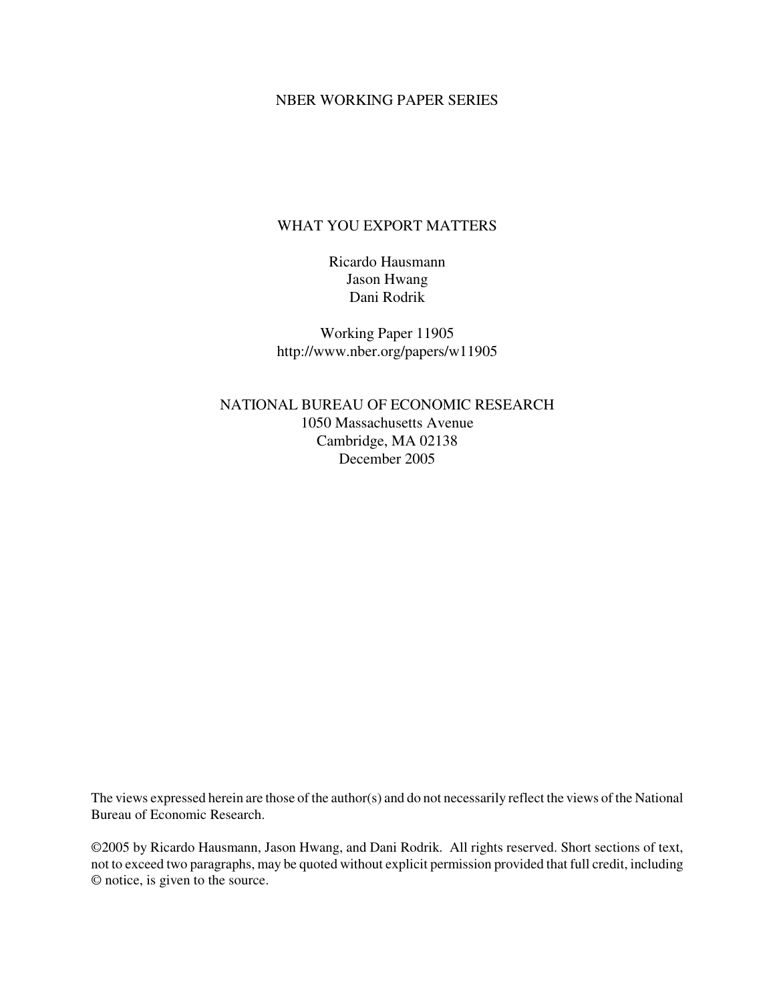### NBER WORKING PAPER SERIES

### WHAT YOU EXPORT MATTERS

Ricardo Hausmann Jason Hwang Dani Rodrik

Working Paper 11905 http://www.nber.org/papers/w11905

NATIONAL BUREAU OF ECONOMIC RESEARCH 1050 Massachusetts Avenue Cambridge, MA 02138 December 2005

The views expressed herein are those of the author(s) and do not necessarily reflect the views of the National Bureau of Economic Research.

©2005 by Ricardo Hausmann, Jason Hwang, and Dani Rodrik. All rights reserved. Short sections of text, not to exceed two paragraphs, may be quoted without explicit permission provided that full credit, including © notice, is given to the source.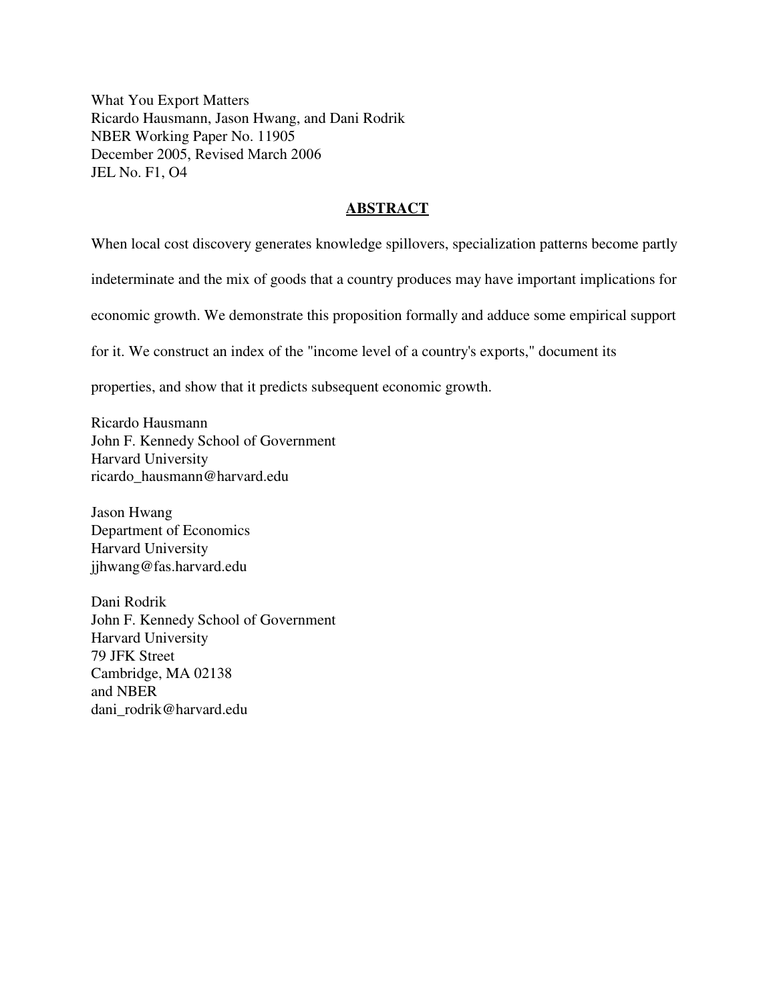What You Export Matters Ricardo Hausmann, Jason Hwang, and Dani Rodrik NBER Working Paper No. 11905 December 2005, Revised March 2006 JEL No. F1, O4

## **ABSTRACT**

When local cost discovery generates knowledge spillovers, specialization patterns become partly

indeterminate and the mix of goods that a country produces may have important implications for

economic growth. We demonstrate this proposition formally and adduce some empirical support

for it. We construct an index of the "income level of a country's exports," document its

properties, and show that it predicts subsequent economic growth.

Ricardo Hausmann John F. Kennedy School of Government Harvard University ricardo\_hausmann@harvard.edu

Jason Hwang Department of Economics Harvard University jjhwang@fas.harvard.edu

Dani Rodrik John F. Kennedy School of Government Harvard University 79 JFK Street Cambridge, MA 02138 and NBER dani\_rodrik@harvard.edu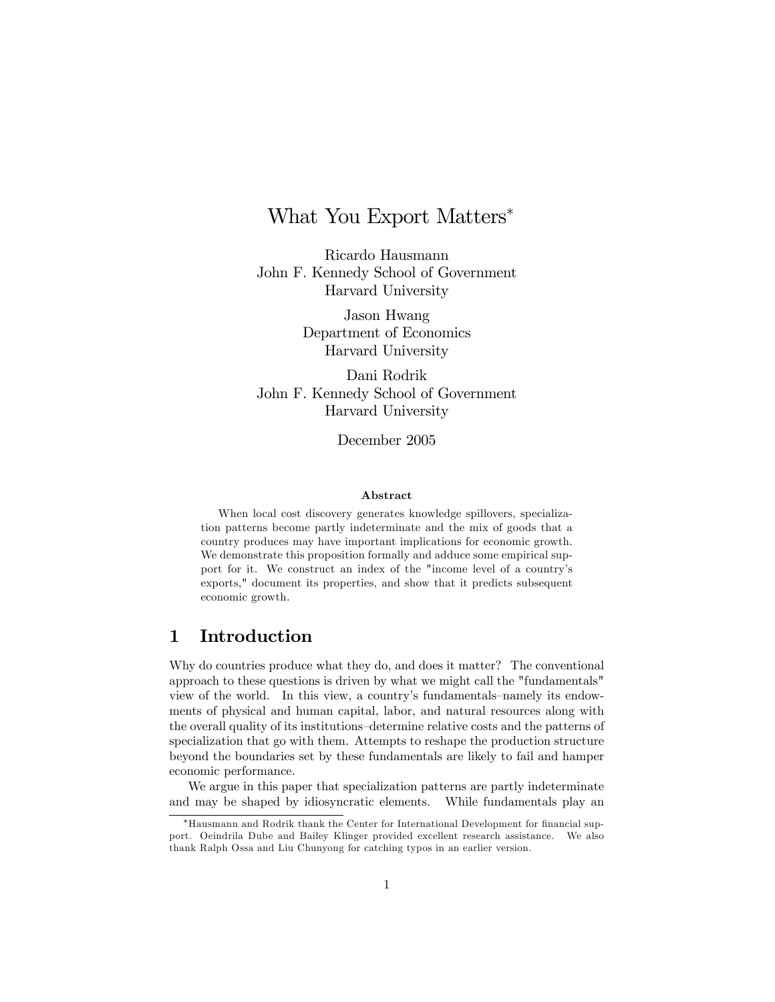# What You Export Matters

Ricardo Hausmann John F. Kennedy School of Government Harvard University

> Jason Hwang Department of Economics Harvard University

Dani Rodrik John F. Kennedy School of Government Harvard University

December 2005

#### Abstract

When local cost discovery generates knowledge spillovers, specialization patterns become partly indeterminate and the mix of goods that a country produces may have important implications for economic growth. We demonstrate this proposition formally and adduce some empirical support for it. We construct an index of the "income level of a countryís exports," document its properties, and show that it predicts subsequent economic growth.

### 1 Introduction

Why do countries produce what they do, and does it matter? The conventional approach to these questions is driven by what we might call the "fundamentals" view of the world. In this view, a country's fundamentals–namely its endowments of physical and human capital, labor, and natural resources along with the overall quality of its institutions–determine relative costs and the patterns of specialization that go with them. Attempts to reshape the production structure beyond the boundaries set by these fundamentals are likely to fail and hamper economic performance.

We argue in this paper that specialization patterns are partly indeterminate and may be shaped by idiosyncratic elements. While fundamentals play an

<sup>\*</sup>Hausmann and Rodrik thank the Center for International Development for financial support. Oeindrila Dube and Bailey Klinger provided excellent research assistance. We also thank Ralph Ossa and Liu Chunyong for catching typos in an earlier version.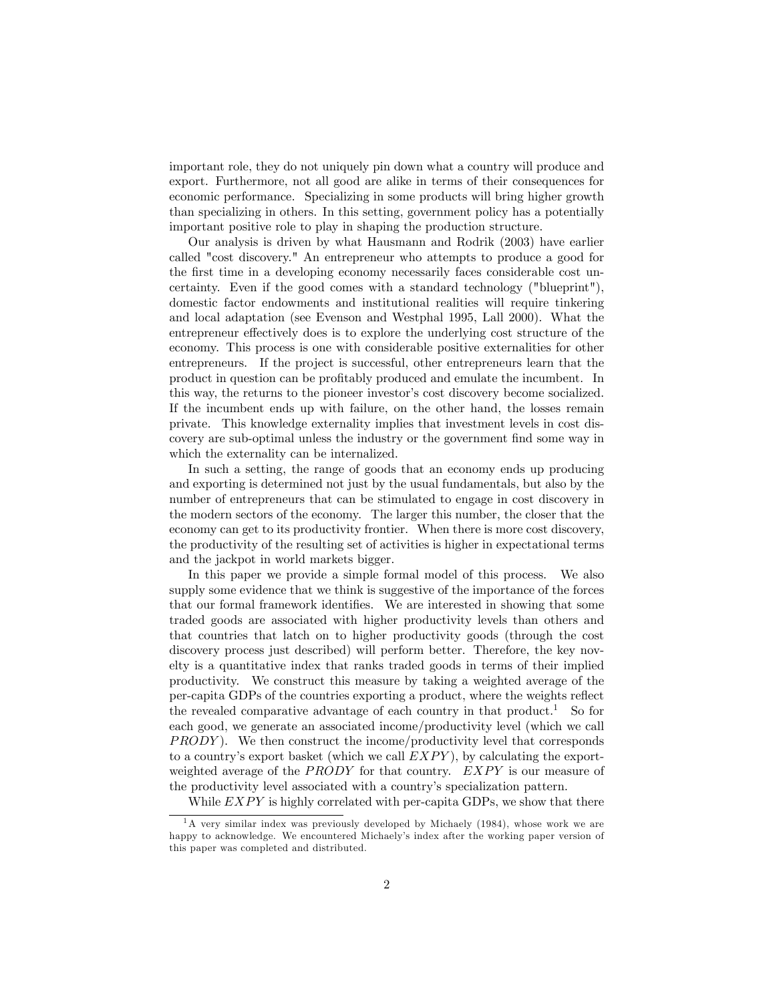important role, they do not uniquely pin down what a country will produce and export. Furthermore, not all good are alike in terms of their consequences for economic performance. Specializing in some products will bring higher growth than specializing in others. In this setting, government policy has a potentially important positive role to play in shaping the production structure.

Our analysis is driven by what Hausmann and Rodrik (2003) have earlier called "cost discovery." An entrepreneur who attempts to produce a good for the first time in a developing economy necessarily faces considerable cost uncertainty. Even if the good comes with a standard technology ("blueprint"), domestic factor endowments and institutional realities will require tinkering and local adaptation (see Evenson and Westphal 1995, Lall 2000). What the entrepreneur effectively does is to explore the underlying cost structure of the economy. This process is one with considerable positive externalities for other entrepreneurs. If the project is successful, other entrepreneurs learn that the product in question can be profitably produced and emulate the incumbent. In this way, the returns to the pioneer investor's cost discovery become socialized. If the incumbent ends up with failure, on the other hand, the losses remain private. This knowledge externality implies that investment levels in cost discovery are sub-optimal unless the industry or the government find some way in which the externality can be internalized.

In such a setting, the range of goods that an economy ends up producing and exporting is determined not just by the usual fundamentals, but also by the number of entrepreneurs that can be stimulated to engage in cost discovery in the modern sectors of the economy. The larger this number, the closer that the economy can get to its productivity frontier. When there is more cost discovery, the productivity of the resulting set of activities is higher in expectational terms and the jackpot in world markets bigger.

In this paper we provide a simple formal model of this process. We also supply some evidence that we think is suggestive of the importance of the forces that our formal framework identifies. We are interested in showing that some traded goods are associated with higher productivity levels than others and that countries that latch on to higher productivity goods (through the cost discovery process just described) will perform better. Therefore, the key novelty is a quantitative index that ranks traded goods in terms of their implied productivity. We construct this measure by taking a weighted average of the per-capita GDPs of the countries exporting a product, where the weights reflect the revealed comparative advantage of each country in that product.<sup>1</sup> So for each good, we generate an associated income/productivity level (which we call PRODY). We then construct the income/productivity level that corresponds to a country's export basket (which we call  $EXPY$ ), by calculating the exportweighted average of the PRODY for that country.  $EXPY$  is our measure of the productivity level associated with a country's specialization pattern.

While  $EXPY$  is highly correlated with per-capita GDPs, we show that there

 $1<sup>1</sup>A$  very similar index was previously developed by Michaely (1984), whose work we are happy to acknowledge. We encountered Michaely's index after the working paper version of this paper was completed and distributed.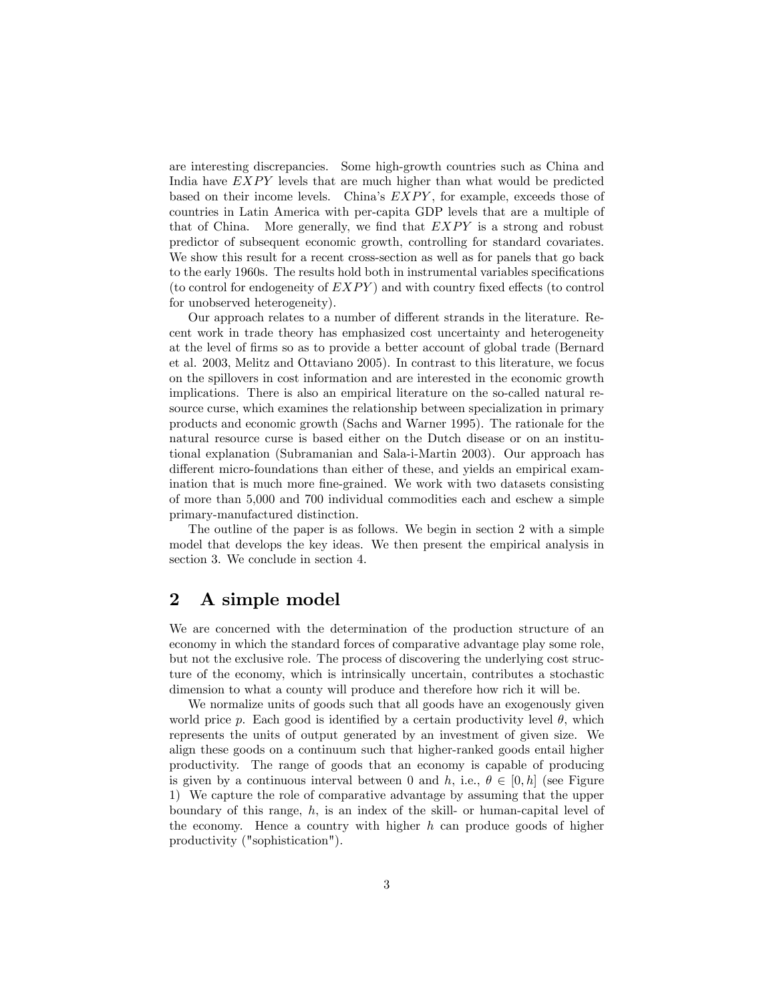are interesting discrepancies. Some high-growth countries such as China and India have  $EXPY$  levels that are much higher than what would be predicted based on their income levels. China's  $EXPY$ , for example, exceeds those of countries in Latin America with per-capita GDP levels that are a multiple of that of China. More generally, we find that  $EXPY$  is a strong and robust predictor of subsequent economic growth, controlling for standard covariates. We show this result for a recent cross-section as well as for panels that go back to the early 1960s. The results hold both in instrumental variables specifications (to control for endogeneity of  $EXPY$ ) and with country fixed effects (to control for unobserved heterogeneity).

Our approach relates to a number of different strands in the literature. Recent work in trade theory has emphasized cost uncertainty and heterogeneity at the level of Örms so as to provide a better account of global trade (Bernard et al. 2003, Melitz and Ottaviano 2005). In contrast to this literature, we focus on the spillovers in cost information and are interested in the economic growth implications. There is also an empirical literature on the so-called natural resource curse, which examines the relationship between specialization in primary products and economic growth (Sachs and Warner 1995). The rationale for the natural resource curse is based either on the Dutch disease or on an institutional explanation (Subramanian and Sala-i-Martin 2003). Our approach has different micro-foundations than either of these, and yields an empirical examination that is much more fine-grained. We work with two datasets consisting of more than 5,000 and 700 individual commodities each and eschew a simple primary-manufactured distinction.

The outline of the paper is as follows. We begin in section 2 with a simple model that develops the key ideas. We then present the empirical analysis in section 3. We conclude in section 4.

### 2 A simple model

We are concerned with the determination of the production structure of an economy in which the standard forces of comparative advantage play some role, but not the exclusive role. The process of discovering the underlying cost structure of the economy, which is intrinsically uncertain, contributes a stochastic dimension to what a county will produce and therefore how rich it will be.

We normalize units of goods such that all goods have an exogenously given world price p. Each good is identified by a certain productivity level  $\theta$ , which represents the units of output generated by an investment of given size. We align these goods on a continuum such that higher-ranked goods entail higher productivity. The range of goods that an economy is capable of producing is given by a continuous interval between 0 and h, i.e.,  $\theta \in [0, h]$  (see Figure 1) We capture the role of comparative advantage by assuming that the upper boundary of this range,  $h$ , is an index of the skill- or human-capital level of the economy. Hence a country with higher  $h$  can produce goods of higher productivity ("sophistication").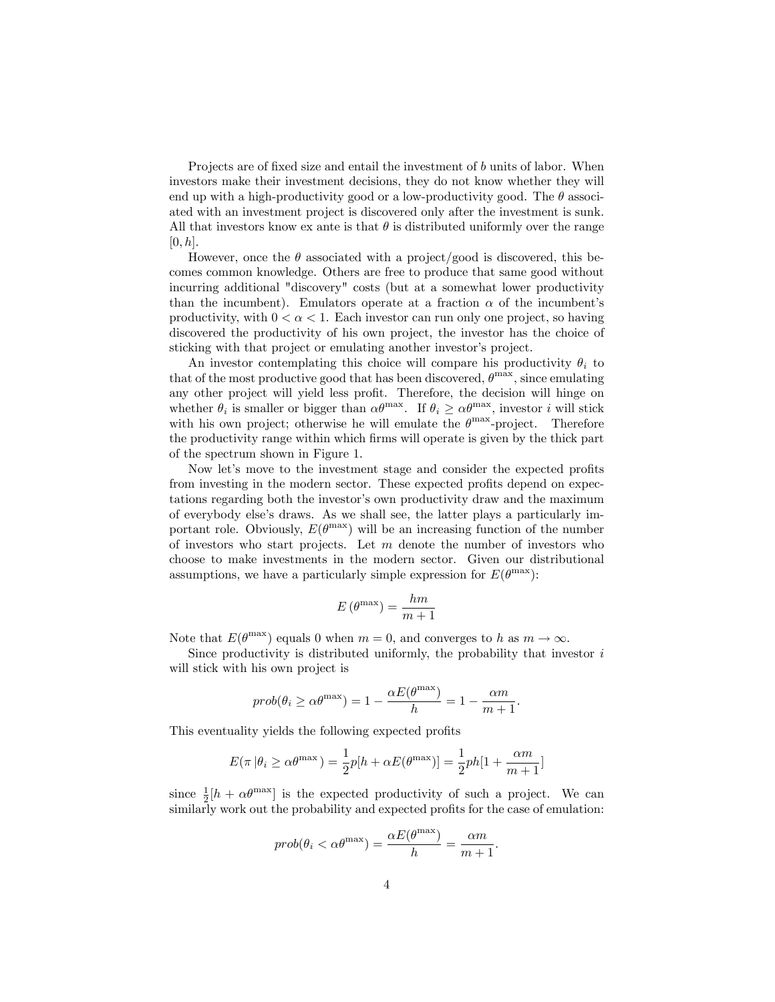Projects are of fixed size and entail the investment of  $b$  units of labor. When investors make their investment decisions, they do not know whether they will end up with a high-productivity good or a low-productivity good. The  $\theta$  associated with an investment project is discovered only after the investment is sunk. All that investors know ex ante is that  $\theta$  is distributed uniformly over the range  $[0, h]$ .

However, once the  $\theta$  associated with a project/good is discovered, this becomes common knowledge. Others are free to produce that same good without incurring additional "discovery" costs (but at a somewhat lower productivity than the incumbent). Emulators operate at a fraction  $\alpha$  of the incumbent's productivity, with  $0 < \alpha < 1$ . Each investor can run only one project, so having discovered the productivity of his own project, the investor has the choice of sticking with that project or emulating another investor's project.

An investor contemplating this choice will compare his productivity  $\theta_i$  to that of the most productive good that has been discovered,  $\theta^{\text{max}}$ , since emulating any other project will yield less profit. Therefore, the decision will hinge on whether  $\theta_i$  is smaller or bigger than  $\alpha \theta^{\max}$ . If  $\theta_i \geq \alpha \theta^{\max}$ , investor *i* will stick with his own project; otherwise he will emulate the  $\theta^{\text{max}}$ -project. Therefore the productivity range within which firms will operate is given by the thick part of the spectrum shown in Figure 1.

Now let's move to the investment stage and consider the expected profits from investing in the modern sector. These expected profits depend on expectations regarding both the investor's own productivity draw and the maximum of everybody elseís draws. As we shall see, the latter plays a particularly important role. Obviously,  $E(\theta^{\text{max}})$  will be an increasing function of the number of investors who start projects. Let  $m$  denote the number of investors who choose to make investments in the modern sector. Given our distributional assumptions, we have a particularly simple expression for  $E(\theta^{\max})$ :

$$
E\left(\theta^{\text{max}}\right) = \frac{hm}{m+1}
$$

Note that  $E(\theta^{\max})$  equals 0 when  $m = 0$ , and converges to h as  $m \to \infty$ .

Since productivity is distributed uniformly, the probability that investor  $i$ will stick with his own project is

$$
prob(\theta_i \ge \alpha \theta^{\max}) = 1 - \frac{\alpha E(\theta^{\max})}{h} = 1 - \frac{\alpha m}{m+1}.
$$

This eventuality yields the following expected profits

$$
E(\pi | \theta_i \ge \alpha \theta^{\max}) = \frac{1}{2}p[h + \alpha E(\theta^{\max})] = \frac{1}{2}ph[1 + \frac{\alpha m}{m+1}]
$$

since  $\frac{1}{2}[h + \alpha \theta^{\text{max}}]$  is the expected productivity of such a project. We can similarly work out the probability and expected profits for the case of emulation:

$$
prob(\theta_i < \alpha \theta^{\max}) = \frac{\alpha E(\theta^{\max})}{h} = \frac{\alpha m}{m+1}.
$$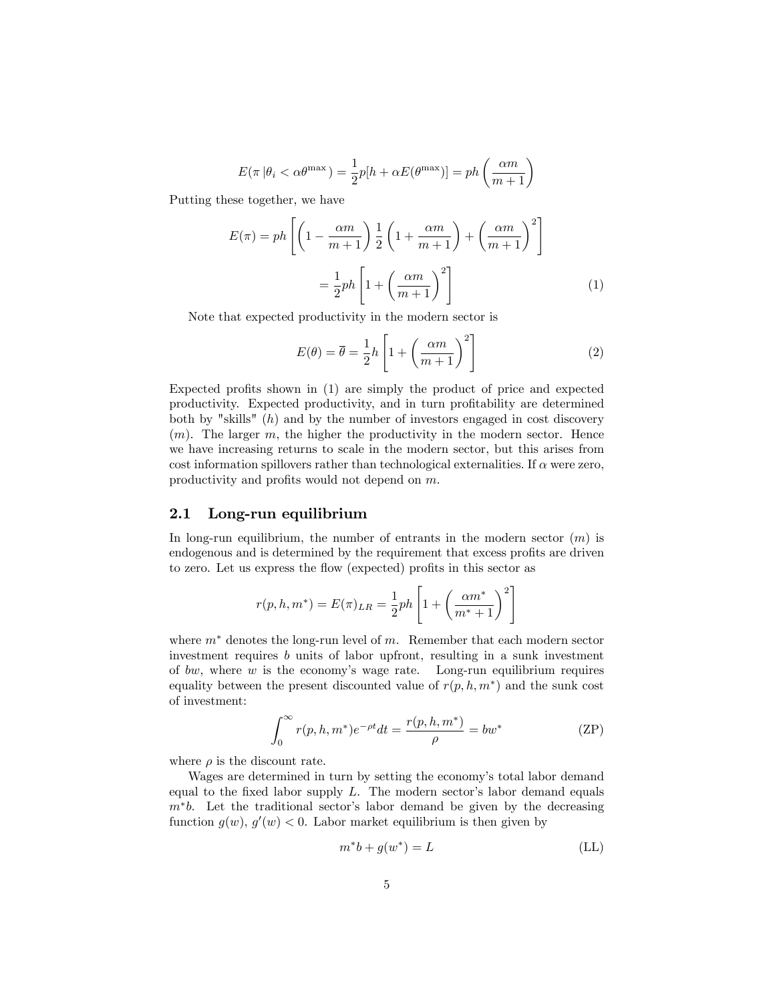$$
E(\pi | \theta_i < \alpha \theta^{\max}) = \frac{1}{2}p[h + \alpha E(\theta^{\max})] = ph\left(\frac{\alpha m}{m+1}\right)
$$

Putting these together, we have

$$
E(\pi) = p h \left[ \left( 1 - \frac{\alpha m}{m+1} \right) \frac{1}{2} \left( 1 + \frac{\alpha m}{m+1} \right) + \left( \frac{\alpha m}{m+1} \right)^2 \right]
$$

$$
= \frac{1}{2} p h \left[ 1 + \left( \frac{\alpha m}{m+1} \right)^2 \right] \tag{1}
$$

Note that expected productivity in the modern sector is

$$
E(\theta) = \overline{\theta} = \frac{1}{2}h \left[ 1 + \left( \frac{\alpha m}{m+1} \right)^2 \right]
$$
 (2)

Expected profits shown in  $(1)$  are simply the product of price and expected productivity. Expected productivity, and in turn profitability are determined both by "skills"  $(h)$  and by the number of investors engaged in cost discovery  $(m)$ . The larger m, the higher the productivity in the modern sector. Hence we have increasing returns to scale in the modern sector, but this arises from cost information spillovers rather than technological externalities. If  $\alpha$  were zero, productivity and profits would not depend on  $m$ .

#### 2.1 Long-run equilibrium

In long-run equilibrium, the number of entrants in the modern sector  $(m)$  is endogenous and is determined by the requirement that excess profits are driven to zero. Let us express the flow (expected) profits in this sector as

$$
r(p, h, m^*) = E(\pi)_{LR} = \frac{1}{2}ph \left[1 + \left(\frac{\alpha m^*}{m^* + 1}\right)^2\right]
$$

where  $m^*$  denotes the long-run level of m. Remember that each modern sector investment requires b units of labor upfront, resulting in a sunk investment of bw, where w is the economy's wage rate. Long-run equilibrium requires equality between the present discounted value of  $r(p, h, m^*)$  and the sunk cost of investment:

$$
\int_0^{\infty} r(p, h, m^*) e^{-\rho t} dt = \frac{r(p, h, m^*)}{\rho} = b w^*
$$
 (ZP)

where  $\rho$  is the discount rate.

Wages are determined in turn by setting the economy's total labor demand equal to the fixed labor supply  $L$ . The modern sector's labor demand equals  $m^*b$ . Let the traditional sector's labor demand be given by the decreasing function  $g(w)$ ,  $g'(w) < 0$ . Labor market equilibrium is then given by

$$
m^*b + g(w^*) = L \tag{LL}
$$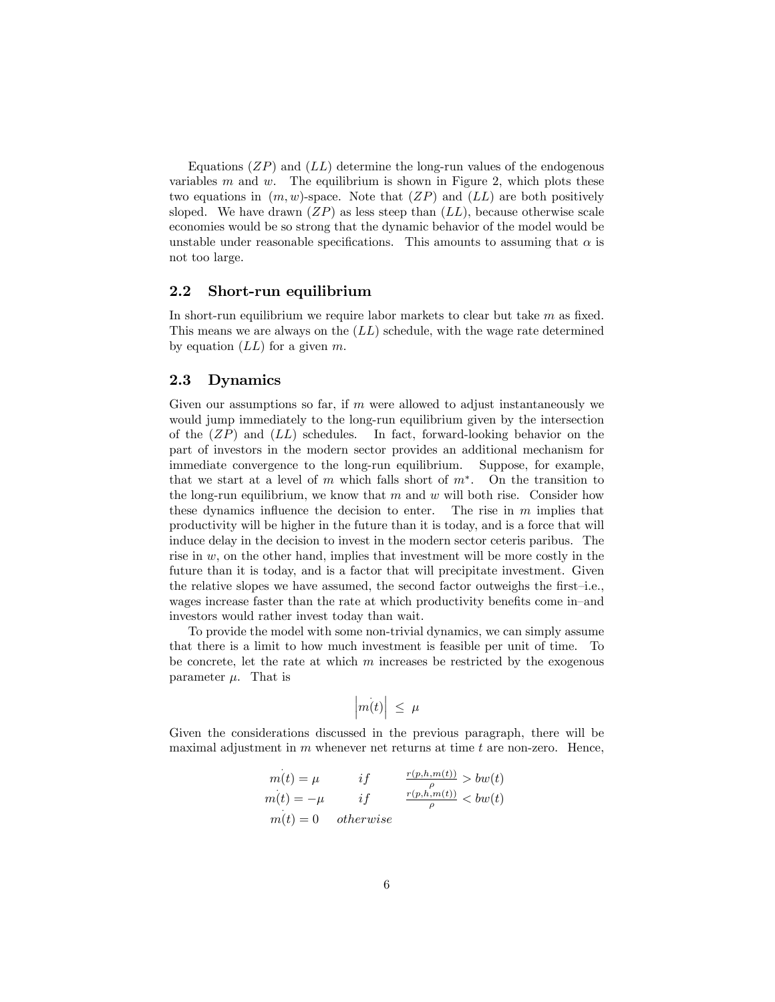Equations  $(ZP)$  and  $(LL)$  determine the long-run values of the endogenous variables  $m$  and  $w$ . The equilibrium is shown in Figure 2, which plots these two equations in  $(m, w)$ -space. Note that  $(ZP)$  and  $(LL)$  are both positively sloped. We have drawn  $(ZP)$  as less steep than  $(LL)$ , because otherwise scale economies would be so strong that the dynamic behavior of the model would be unstable under reasonable specifications. This amounts to assuming that  $\alpha$  is not too large.

#### 2.2 Short-run equilibrium

In short-run equilibrium we require labor markets to clear but take  $m$  as fixed. This means we are always on the (LL) schedule, with the wage rate determined by equation  $(LL)$  for a given m.

#### 2.3 Dynamics

Given our assumptions so far, if  $m$  were allowed to adjust instantaneously we would jump immediately to the long-run equilibrium given by the intersection of the  $(ZP)$  and  $(LL)$  schedules. In fact, forward-looking behavior on the part of investors in the modern sector provides an additional mechanism for immediate convergence to the long-run equilibrium. Suppose, for example, that we start at a level of  $m$  which falls short of  $m^*$ . On the transition to the long-run equilibrium, we know that  $m$  and  $w$  will both rise. Consider how these dynamics influence the decision to enter. The rise in  $m$  implies that productivity will be higher in the future than it is today, and is a force that will induce delay in the decision to invest in the modern sector ceteris paribus. The rise in  $w$ , on the other hand, implies that investment will be more costly in the future than it is today, and is a factor that will precipitate investment. Given the relative slopes we have assumed, the second factor outweighs the first-i.e., wages increase faster than the rate at which productivity benefits come in-and investors would rather invest today than wait.

To provide the model with some non-trivial dynamics, we can simply assume that there is a limit to how much investment is feasible per unit of time. To be concrete, let the rate at which  $m$  increases be restricted by the exogenous parameter  $\mu$ . That is

$$
\left|\dot{m(t)}\right| \ \leq \ \mu
$$

Given the considerations discussed in the previous paragraph, there will be maximal adjustment in  $m$  whenever net returns at time  $t$  are non-zero. Hence,

$$
m(t) = \mu \quad if \quad \frac{r(p, h, m(t))}{\rho} > bw(t)
$$
  

$$
m(t) = -\mu \quad if \quad \frac{r(p, h, m(t))}{\rho} < bw(t)
$$
  

$$
m(t) = 0 \quad otherwise
$$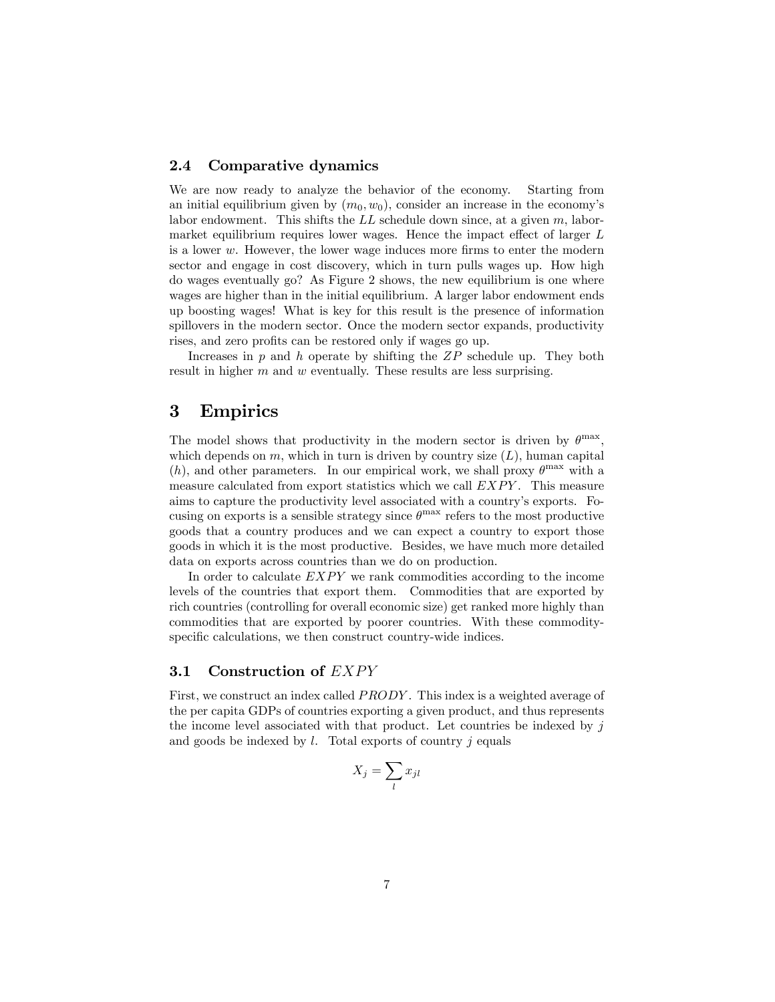#### 2.4 Comparative dynamics

We are now ready to analyze the behavior of the economy. Starting from an initial equilibrium given by  $(m_0, w_0)$ , consider an increase in the economy's labor endowment. This shifts the  $LL$  schedule down since, at a given  $m$ , labormarket equilibrium requires lower wages. Hence the impact effect of larger  $L$ is a lower  $w$ . However, the lower wage induces more firms to enter the modern sector and engage in cost discovery, which in turn pulls wages up. How high do wages eventually go? As Figure 2 shows, the new equilibrium is one where wages are higher than in the initial equilibrium. A larger labor endowment ends up boosting wages! What is key for this result is the presence of information spillovers in the modern sector. Once the modern sector expands, productivity rises, and zero profits can be restored only if wages go up.

Increases in  $p$  and  $h$  operate by shifting the  $\mathbb{Z}P$  schedule up. They both result in higher  $m$  and  $w$  eventually. These results are less surprising.

## 3 Empirics

The model shows that productivity in the modern sector is driven by  $\theta^{\max}$ , which depends on  $m$ , which in turn is driven by country size  $(L)$ , human capital (h), and other parameters. In our empirical work, we shall proxy  $\theta^{\max}$  with a measure calculated from export statistics which we call  $EXPY$ . This measure aims to capture the productivity level associated with a countryís exports. Focusing on exports is a sensible strategy since  $\theta^{\text{max}}$  refers to the most productive goods that a country produces and we can expect a country to export those goods in which it is the most productive. Besides, we have much more detailed data on exports across countries than we do on production.

In order to calculate  $EXPY$  we rank commodities according to the income levels of the countries that export them. Commodities that are exported by rich countries (controlling for overall economic size) get ranked more highly than commodities that are exported by poorer countries. With these commodityspecific calculations, we then construct country-wide indices.

#### 3.1 Construction of  $EXPY$

First, we construct an index called PRODY. This index is a weighted average of the per capita GDPs of countries exporting a given product, and thus represents the income level associated with that product. Let countries be indexed by  $j$ and goods be indexed by  $l$ . Total exports of country  $j$  equals

$$
X_j = \sum_l x_{jl}
$$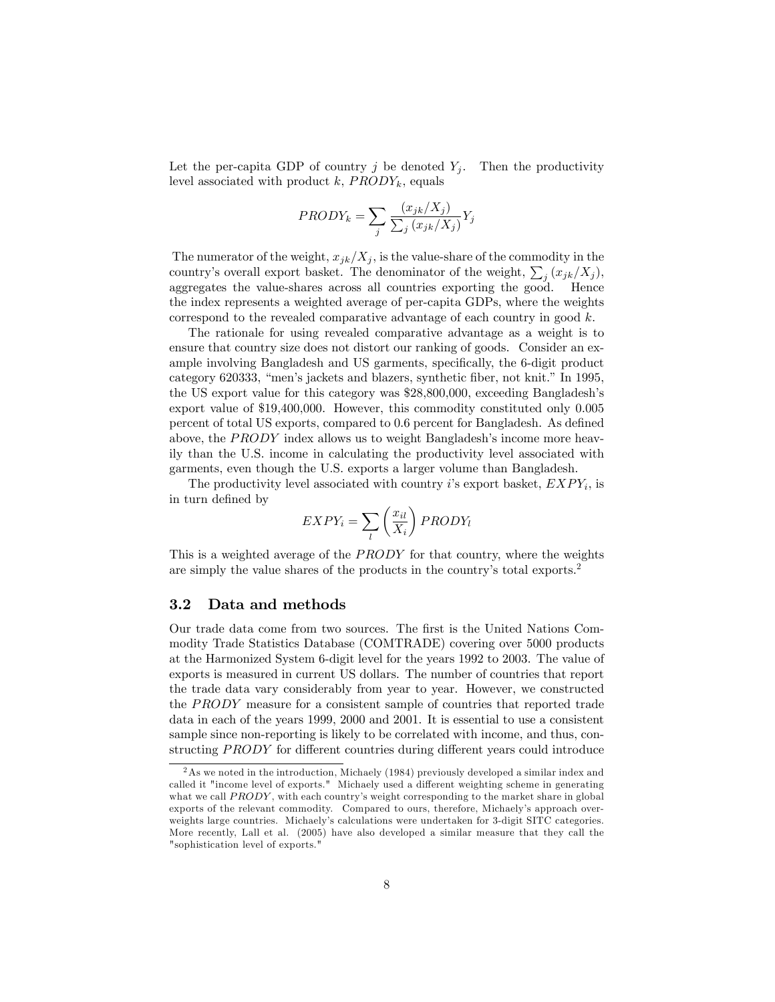Let the per-capita GDP of country j be denoted  $Y_j$ . Then the productivity level associated with product k,  $PRODY_k$ , equals

$$
PRODY_k = \sum_{j} \frac{(x_{jk}/X_j)}{\sum_{j} (x_{jk}/X_j)} Y_j
$$

The numerator of the weight,  $x_{jk}/X_j$ , is the value-share of the commodity in the country's overall export basket. The denominator of the weight,  $\sum_j (x_{jk}/X_j)$ , aggregates the value-shares across all countries exporting the good. Hence the index represents a weighted average of per-capita GDPs, where the weights correspond to the revealed comparative advantage of each country in good  $k$ .

The rationale for using revealed comparative advantage as a weight is to ensure that country size does not distort our ranking of goods. Consider an example involving Bangladesh and US garments, specifically, the 6-digit product category 620333, "men's jackets and blazers, synthetic fiber, not knit." In 1995, the US export value for this category was \$28,800,000, exceeding Bangladeshís export value of \$19,400,000. However, this commodity constituted only 0.005 percent of total US exports, compared to 0.6 percent for Bangladesh. As defined above, the  $PRODY$  index allows us to weight Bangladesh's income more heavily than the U.S. income in calculating the productivity level associated with garments, even though the U.S. exports a larger volume than Bangladesh.

The productivity level associated with country  $i$ 's export basket,  $EXPY_i$ , is in turn defined by

$$
EXPY_i = \sum_{l} \left(\frac{x_{il}}{X_i}\right) PRODY_l
$$

This is a weighted average of the *PRODY* for that country, where the weights are simply the value shares of the products in the country's total exports.<sup>2</sup>

#### 3.2 Data and methods

Our trade data come from two sources. The first is the United Nations Commodity Trade Statistics Database (COMTRADE) covering over 5000 products at the Harmonized System 6-digit level for the years 1992 to 2003. The value of exports is measured in current US dollars. The number of countries that report the trade data vary considerably from year to year. However, we constructed the PRODY measure for a consistent sample of countries that reported trade data in each of the years 1999, 2000 and 2001. It is essential to use a consistent sample since non-reporting is likely to be correlated with income, and thus, constructing PRODY for different countries during different years could introduce

<sup>&</sup>lt;sup>2</sup>As we noted in the introduction, Michaely (1984) previously developed a similar index and called it "income level of exports." Michaely used a different weighting scheme in generating what we call PRODY, with each country's weight corresponding to the market share in global exports of the relevant commodity. Compared to ours, therefore, Michaelyís approach overweights large countries. Michaely's calculations were undertaken for 3-digit SITC categories. More recently, Lall et al. (2005) have also developed a similar measure that they call the "sophistication level of exports."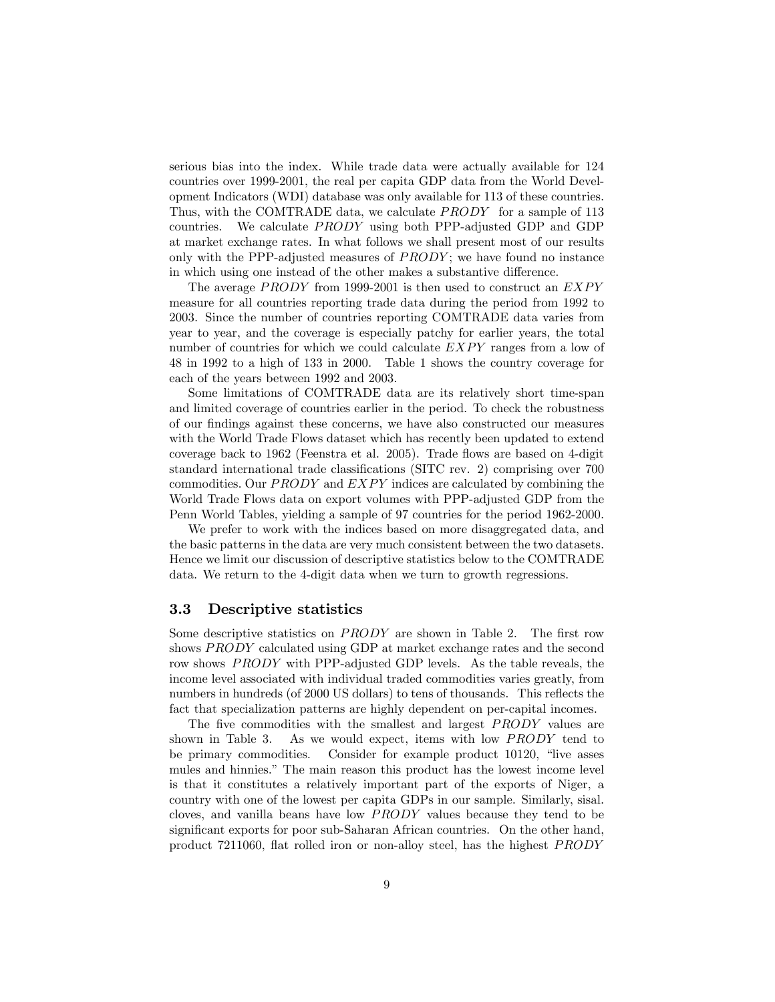serious bias into the index. While trade data were actually available for 124 countries over 1999-2001, the real per capita GDP data from the World Development Indicators (WDI) database was only available for 113 of these countries. Thus, with the COMTRADE data, we calculate *PRODY* for a sample of 113 countries. We calculate  $PRODY$  using both PPP-adjusted GDP and GDP at market exchange rates. In what follows we shall present most of our results only with the PPP-adjusted measures of  $PRODY$ ; we have found no instance in which using one instead of the other makes a substantive difference.

The average  $PRODY$  from 1999-2001 is then used to construct an  $EXPY$ measure for all countries reporting trade data during the period from 1992 to 2003. Since the number of countries reporting COMTRADE data varies from year to year, and the coverage is especially patchy for earlier years, the total number of countries for which we could calculate  $EXPY$  ranges from a low of 48 in 1992 to a high of 133 in 2000. Table 1 shows the country coverage for each of the years between 1992 and 2003.

Some limitations of COMTRADE data are its relatively short time-span and limited coverage of countries earlier in the period. To check the robustness of our Öndings against these concerns, we have also constructed our measures with the World Trade Flows dataset which has recently been updated to extend coverage back to 1962 (Feenstra et al. 2005). Trade flows are based on 4-digit standard international trade classifications (SITC rev. 2) comprising over 700 commodities. Our  $PRODY$  and  $EXPY$  indices are calculated by combining the World Trade Flows data on export volumes with PPP-adjusted GDP from the Penn World Tables, yielding a sample of 97 countries for the period 1962-2000.

We prefer to work with the indices based on more disaggregated data, and the basic patterns in the data are very much consistent between the two datasets. Hence we limit our discussion of descriptive statistics below to the COMTRADE data. We return to the 4-digit data when we turn to growth regressions.

#### 3.3 Descriptive statistics

Some descriptive statistics on *PRODY* are shown in Table 2. The first row shows PRODY calculated using GDP at market exchange rates and the second row shows *PRODY* with PPP-adjusted GDP levels. As the table reveals, the income level associated with individual traded commodities varies greatly, from numbers in hundreds (of 2000 US dollars) to tens of thousands. This reflects the fact that specialization patterns are highly dependent on per-capital incomes.

The five commodities with the smallest and largest *PRODY* values are shown in Table 3. As we would expect, items with low  $PRODY$  tend to be primary commodities. Consider for example product 10120, "live asses mules and hinnies." The main reason this product has the lowest income level is that it constitutes a relatively important part of the exports of Niger, a country with one of the lowest per capita GDPs in our sample. Similarly, sisal. cloves, and vanilla beans have low  $PRODY$  values because they tend to be significant exports for poor sub-Saharan African countries. On the other hand, product 7211060, flat rolled iron or non-alloy steel, has the highest  $PRODY$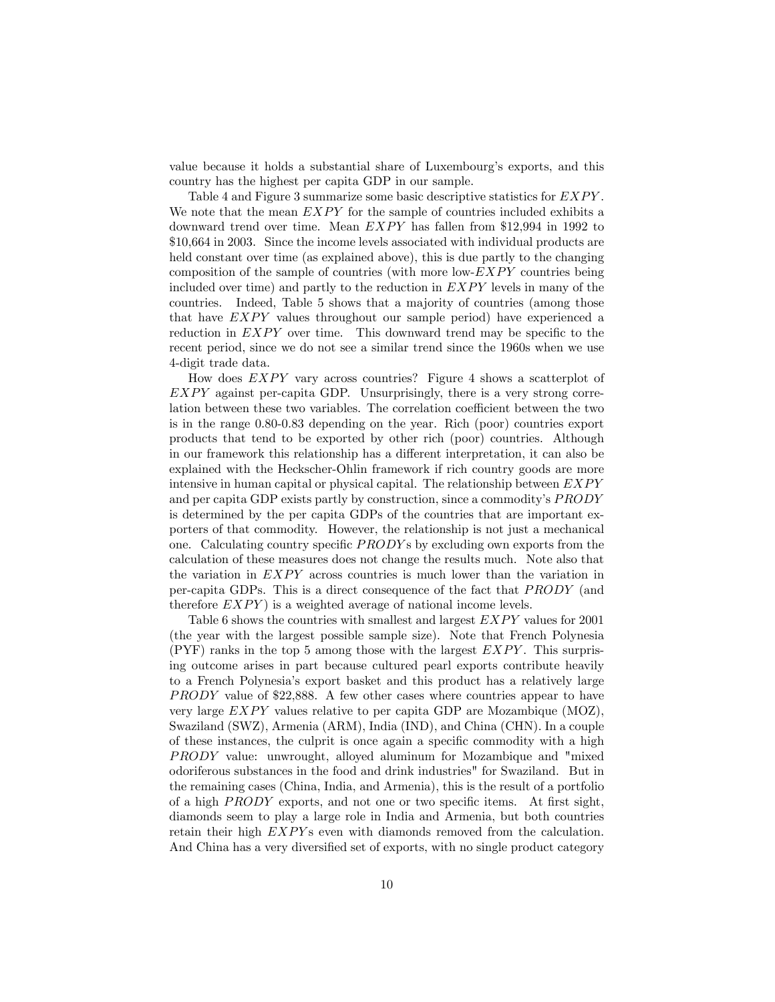value because it holds a substantial share of Luxembourgís exports, and this country has the highest per capita GDP in our sample.

Table 4 and Figure 3 summarize some basic descriptive statistics for  $EXPY$ . We note that the mean  $EXPY$  for the sample of countries included exhibits a downward trend over time. Mean  $EXPY$  has fallen from \$12,994 in 1992 to \$10,664 in 2003. Since the income levels associated with individual products are held constant over time (as explained above), this is due partly to the changing composition of the sample of countries (with more low- $EXPY$  countries being included over time) and partly to the reduction in  $EXPY$  levels in many of the countries. Indeed, Table 5 shows that a majority of countries (among those that have  $EXPY$  values throughout our sample period) have experienced a reduction in  $EXPY$  over time. This downward trend may be specific to the recent period, since we do not see a similar trend since the 1960s when we use 4-digit trade data.

How does  $EXPY$  vary across countries? Figure 4 shows a scatterplot of  $EXPY$  against per-capita GDP. Unsurprisingly, there is a very strong correlation between these two variables. The correlation coefficient between the two is in the range 0.80-0.83 depending on the year. Rich (poor) countries export products that tend to be exported by other rich (poor) countries. Although in our framework this relationship has a different interpretation, it can also be explained with the Heckscher-Ohlin framework if rich country goods are more intensive in human capital or physical capital. The relationship between  $EXPY$ and per capita GDP exists partly by construction, since a commodity's  $PRODY$ is determined by the per capita GDPs of the countries that are important exporters of that commodity. However, the relationship is not just a mechanical one. Calculating country specific  $PRODYs$  by excluding own exports from the calculation of these measures does not change the results much. Note also that the variation in  $EXPY$  across countries is much lower than the variation in per-capita GDPs. This is a direct consequence of the fact that PRODY (and therefore  $EXPY$  is a weighted average of national income levels.

Table 6 shows the countries with smallest and largest  $EXPY$  values for 2001 (the year with the largest possible sample size). Note that French Polynesia (PYF) ranks in the top 5 among those with the largest  $EXPY$ . This surprising outcome arises in part because cultured pearl exports contribute heavily to a French Polynesiaís export basket and this product has a relatively large PRODY value of \$22,888. A few other cases where countries appear to have very large  $EXPY$  values relative to per capita GDP are Mozambique (MOZ), Swaziland (SWZ), Armenia (ARM), India (IND), and China (CHN). In a couple of these instances, the culprit is once again a speciÖc commodity with a high P RODY value: unwrought, alloyed aluminum for Mozambique and "mixed odoriferous substances in the food and drink industries" for Swaziland. But in the remaining cases (China, India, and Armenia), this is the result of a portfolio of a high  $PRODY$  exports, and not one or two specific items. At first sight, diamonds seem to play a large role in India and Armenia, but both countries retain their high EXPYs even with diamonds removed from the calculation. And China has a very diversified set of exports, with no single product category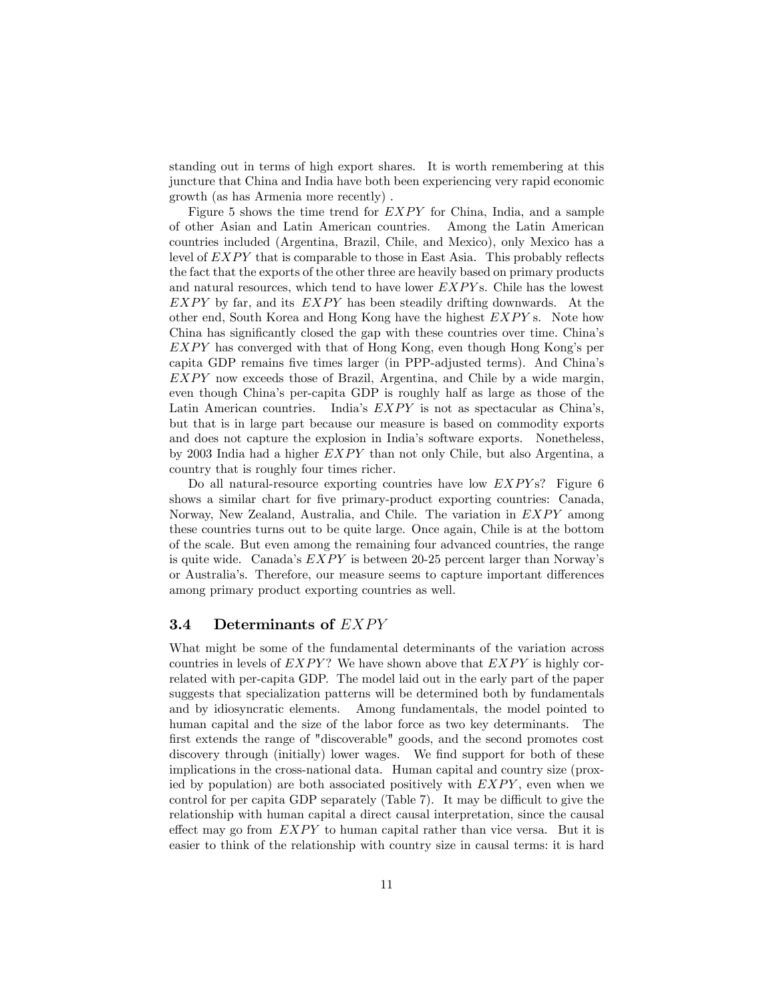standing out in terms of high export shares. It is worth remembering at this juncture that China and India have both been experiencing very rapid economic growth (as has Armenia more recently) .

Figure 5 shows the time trend for  $EXPY$  for China, India, and a sample of other Asian and Latin American countries. Among the Latin American countries included (Argentina, Brazil, Chile, and Mexico), only Mexico has a level of  $EXPY$  that is comparable to those in East Asia. This probably reflects the fact that the exports of the other three are heavily based on primary products and natural resources, which tend to have lower  $EXPYs$ . Chile has the lowest  $EXPY$  by far, and its  $EXPY$  has been steadily drifting downwards. At the other end, South Korea and Hong Kong have the highest  $EXPY$  s. Note how China has significantly closed the gap with these countries over time. China's  $EXPY$  has converged with that of Hong Kong, even though Hong Kong's per capita GDP remains five times larger (in PPP-adjusted terms). And China's  $EXPY$  now exceeds those of Brazil, Argentina, and Chile by a wide margin, even though Chinaís per-capita GDP is roughly half as large as those of the Latin American countries. India's  $EXPY$  is not as spectacular as China's, but that is in large part because our measure is based on commodity exports and does not capture the explosion in Indiaís software exports. Nonetheless, by 2003 India had a higher  $EXPY$  than not only Chile, but also Argentina, a country that is roughly four times richer.

Do all natural-resource exporting countries have low  $EXPYs$ ? Figure 6 shows a similar chart for five primary-product exporting countries: Canada, Norway, New Zealand, Australia, and Chile. The variation in  $EXPY$  among these countries turns out to be quite large. Once again, Chile is at the bottom of the scale. But even among the remaining four advanced countries, the range is quite wide. Canada's  $EXPY$  is between 20-25 percent larger than Norway's or Australia's. Therefore, our measure seems to capture important differences among primary product exporting countries as well.

#### 3.4 Determinants of EXPY

What might be some of the fundamental determinants of the variation across countries in levels of  $EXPY$ ? We have shown above that  $EXPY$  is highly correlated with per-capita GDP. The model laid out in the early part of the paper suggests that specialization patterns will be determined both by fundamentals and by idiosyncratic elements. Among fundamentals, the model pointed to human capital and the size of the labor force as two key determinants. The first extends the range of "discoverable" goods, and the second promotes cost discovery through (initially) lower wages. We find support for both of these implications in the cross-national data. Human capital and country size (proxied by population) are both associated positively with  $EXPY$ , even when we control for per capita GDP separately (Table 7). It may be difficult to give the relationship with human capital a direct causal interpretation, since the causal effect may go from  $EXPY$  to human capital rather than vice versa. But it is easier to think of the relationship with country size in causal terms: it is hard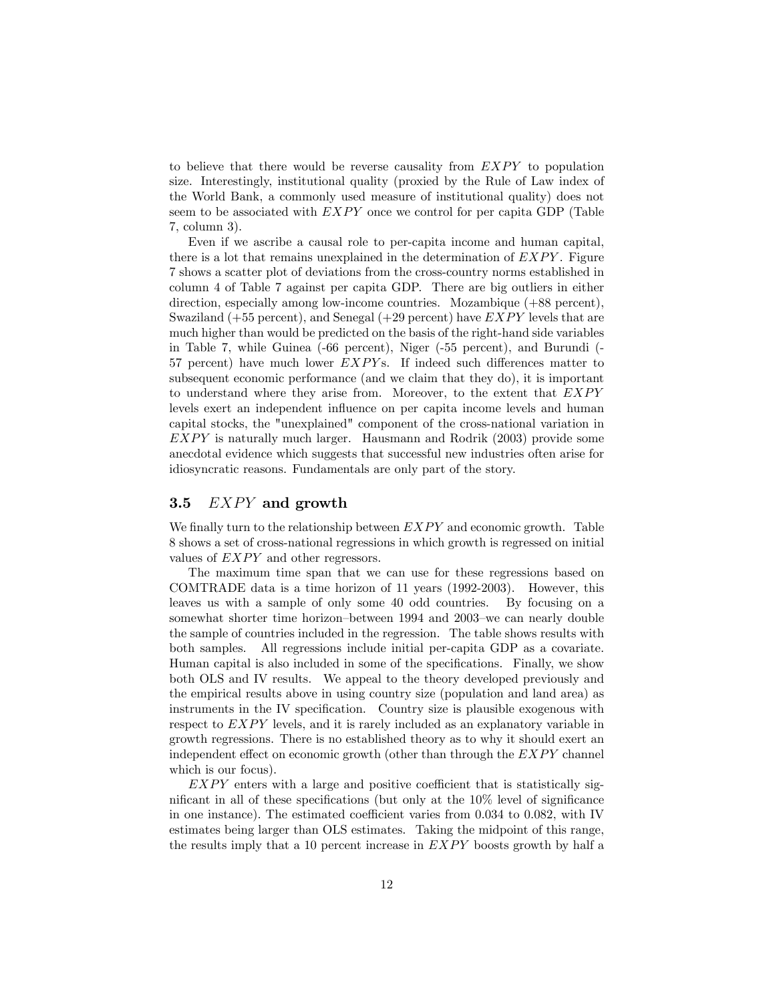to believe that there would be reverse causality from  $EXPY$  to population size. Interestingly, institutional quality (proxied by the Rule of Law index of the World Bank, a commonly used measure of institutional quality) does not seem to be associated with  $EXPY$  once we control for per capita GDP (Table 7, column 3).

Even if we ascribe a causal role to per-capita income and human capital, there is a lot that remains unexplained in the determination of  $EXPY$ . Figure 7 shows a scatter plot of deviations from the cross-country norms established in column 4 of Table 7 against per capita GDP. There are big outliers in either direction, especially among low-income countries. Mozambique (+88 percent), Swaziland  $(+55$  percent), and Senegal  $(+29$  percent) have  $EXPY$  levels that are much higher than would be predicted on the basis of the right-hand side variables in Table 7, while Guinea (-66 percent), Niger (-55 percent), and Burundi (- 57 percent) have much lower  $EXPYs$ . If indeed such differences matter to subsequent economic performance (and we claim that they do), it is important to understand where they arise from. Moreover, to the extent that  $EXPY$ levels exert an independent influence on per capita income levels and human capital stocks, the "unexplained" component of the cross-national variation in  $EXPY$  is naturally much larger. Hausmann and Rodrik (2003) provide some anecdotal evidence which suggests that successful new industries often arise for idiosyncratic reasons. Fundamentals are only part of the story.

#### 3.5  $EXPY$  and growth

We finally turn to the relationship between  $EXPY$  and economic growth. Table 8 shows a set of cross-national regressions in which growth is regressed on initial values of  $EXPY$  and other regressors.

The maximum time span that we can use for these regressions based on COMTRADE data is a time horizon of 11 years (1992-2003). However, this leaves us with a sample of only some 40 odd countries. By focusing on a somewhat shorter time horizon–between 1994 and 2003–we can nearly double the sample of countries included in the regression. The table shows results with both samples. All regressions include initial per-capita GDP as a covariate. Human capital is also included in some of the specifications. Finally, we show both OLS and IV results. We appeal to the theory developed previously and the empirical results above in using country size (population and land area) as instruments in the IV specification. Country size is plausible exogenous with respect to  $EXPY$  levels, and it is rarely included as an explanatory variable in growth regressions. There is no established theory as to why it should exert an independent effect on economic growth (other than through the  $EXPY$  channel which is our focus).

 $EXPY$  enters with a large and positive coefficient that is statistically significant in all of these specifications (but only at the  $10\%$  level of significance in one instance). The estimated coefficient varies from  $0.034$  to  $0.082$ , with IV estimates being larger than OLS estimates. Taking the midpoint of this range, the results imply that a 10 percent increase in  $EXPY$  boosts growth by half a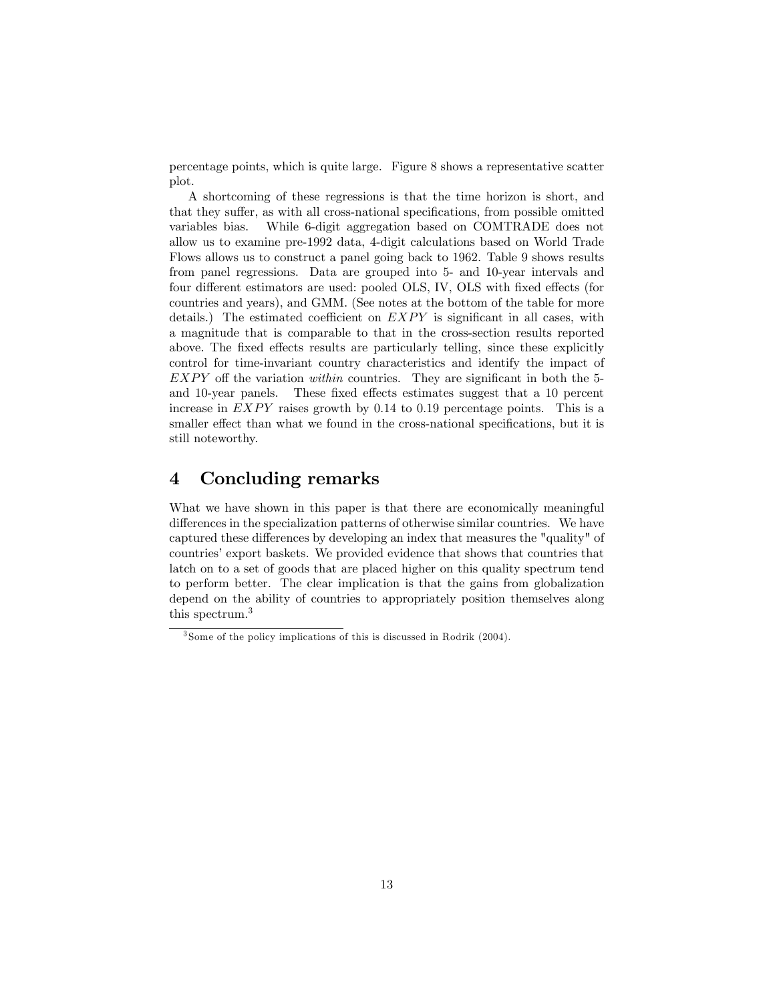percentage points, which is quite large. Figure 8 shows a representative scatter plot.

A shortcoming of these regressions is that the time horizon is short, and that they suffer, as with all cross-national specifications, from possible omitted variables bias. While 6-digit aggregation based on COMTRADE does not allow us to examine pre-1992 data, 4-digit calculations based on World Trade Flows allows us to construct a panel going back to 1962. Table 9 shows results from panel regressions. Data are grouped into 5- and 10-year intervals and four different estimators are used: pooled OLS, IV, OLS with fixed effects (for countries and years), and GMM. (See notes at the bottom of the table for more details.) The estimated coefficient on  $EXPY$  is significant in all cases, with a magnitude that is comparable to that in the cross-section results reported above. The fixed effects results are particularly telling, since these explicitly control for time-invariant country characteristics and identify the impact of  $EXPY$  off the variation *within* countries. They are significant in both the 5and 10-year panels. These fixed effects estimates suggest that a 10 percent increase in  $EXPY$  raises growth by 0.14 to 0.19 percentage points. This is a smaller effect than what we found in the cross-national specifications, but it is still noteworthy.

# 4 Concluding remarks

What we have shown in this paper is that there are economically meaningful differences in the specialization patterns of otherwise similar countries. We have captured these differences by developing an index that measures the "quality" of countries' export baskets. We provided evidence that shows that countries that latch on to a set of goods that are placed higher on this quality spectrum tend to perform better. The clear implication is that the gains from globalization depend on the ability of countries to appropriately position themselves along this spectrum.<sup>3</sup>

<sup>3</sup> Some of the policy implications of this is discussed in Rodrik (2004).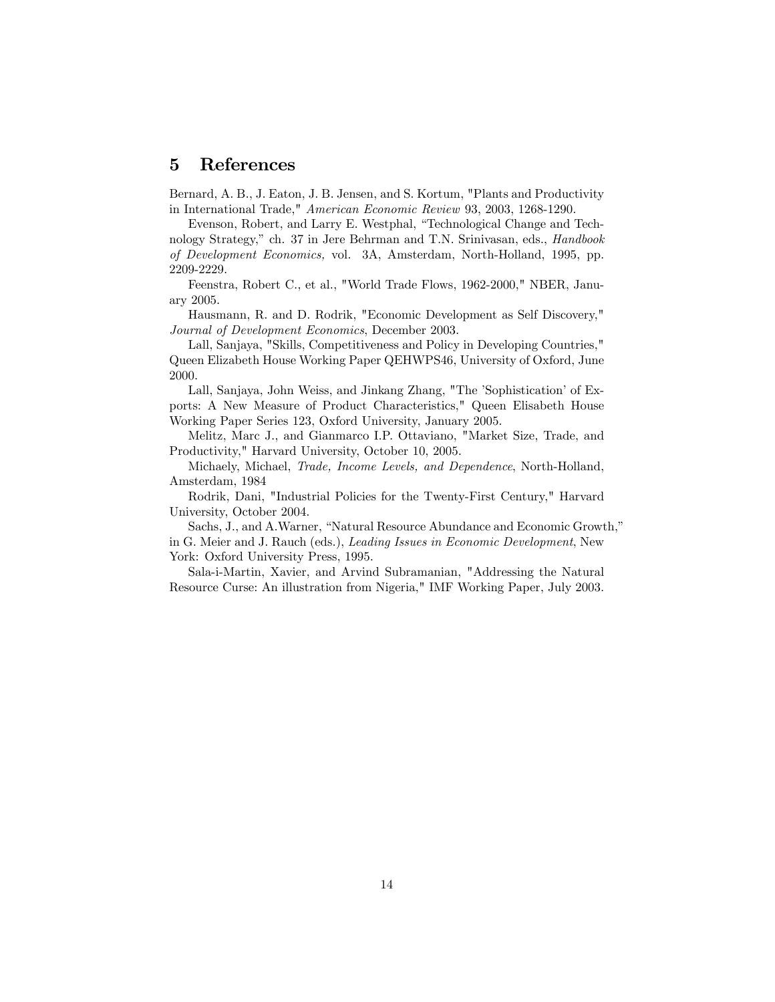## 5 References

Bernard, A. B., J. Eaton, J. B. Jensen, and S. Kortum, "Plants and Productivity in International Trade," American Economic Review 93, 2003, 1268-1290.

Evenson, Robert, and Larry E. Westphal, "Technological Change and Technology Strategy," ch. 37 in Jere Behrman and T.N. Srinivasan, eds., *Handbook* of Development Economics, vol. 3A, Amsterdam, North-Holland, 1995, pp. 2209-2229.

Feenstra, Robert C., et al., "World Trade Flows, 1962-2000," NBER, January 2005.

Hausmann, R. and D. Rodrik, "Economic Development as Self Discovery," Journal of Development Economics, December 2003.

Lall, Sanjaya, "Skills, Competitiveness and Policy in Developing Countries," Queen Elizabeth House Working Paper QEHWPS46, University of Oxford, June 2000.

Lall, Sanjaya, John Weiss, and Jinkang Zhang, "The 'Sophistication' of Exports: A New Measure of Product Characteristics," Queen Elisabeth House Working Paper Series 123, Oxford University, January 2005.

Melitz, Marc J., and Gianmarco I.P. Ottaviano, "Market Size, Trade, and Productivity," Harvard University, October 10, 2005.

Michaely, Michael, Trade, Income Levels, and Dependence, North-Holland, Amsterdam, 1984

Rodrik, Dani, "Industrial Policies for the Twenty-First Century," Harvard University, October 2004.

Sachs, J., and A.Warner, "Natural Resource Abundance and Economic Growth," in G. Meier and J. Rauch (eds.), Leading Issues in Economic Development, New York: Oxford University Press, 1995.

Sala-i-Martin, Xavier, and Arvind Subramanian, "Addressing the Natural Resource Curse: An illustration from Nigeria," IMF Working Paper, July 2003.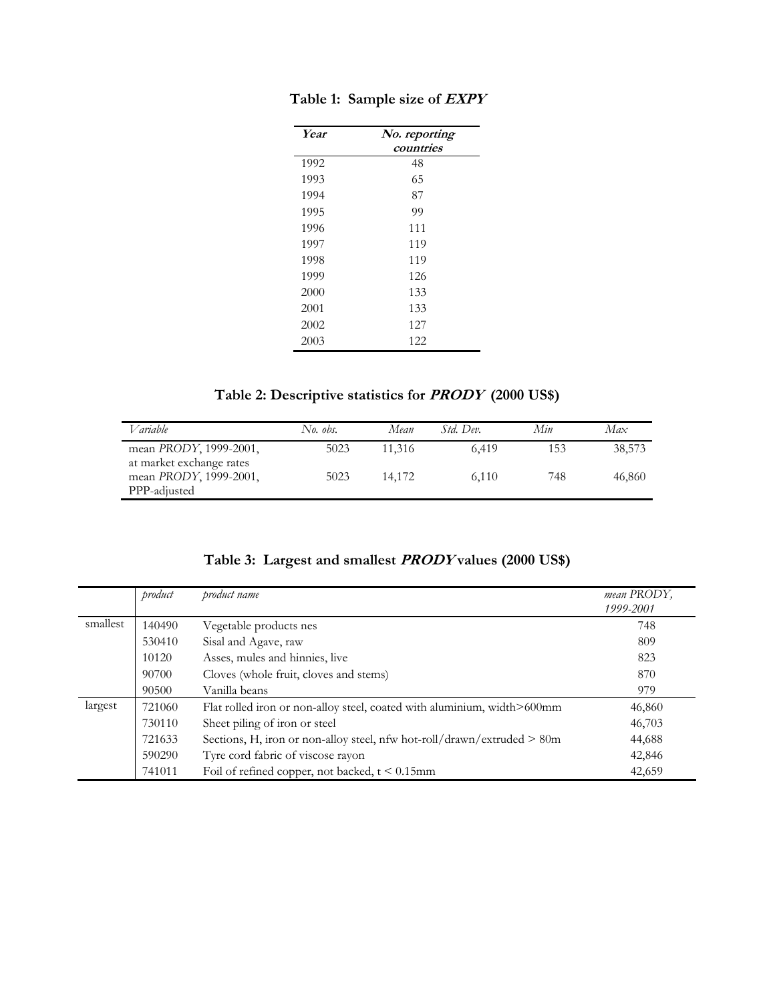| Year | No. reporting |
|------|---------------|
|      | countries     |
| 1992 | 48            |
| 1993 | 65            |
| 1994 | 87            |
| 1995 | 99            |
| 1996 | 111           |
| 1997 | 119           |
| 1998 | 119           |
| 1999 | 126           |
| 2000 | 133           |
| 2001 | 133           |
| 2002 | 127           |
| 2003 | 122           |

**Table 1: Sample size of EXPY**

# **Table 2: Descriptive statistics for PRODY (2000 US\$)**

| Variable                       | $No.$ obs. | Mean   | Std. Dev. | Min | Max    |
|--------------------------------|------------|--------|-----------|-----|--------|
| mean <i>PRODY</i> , 1999-2001, | 5023       | 11.316 | 6.419     | 153 | 38,573 |
| at market exchange rates       |            |        |           |     |        |
| mean <i>PRODY</i> , 1999-2001, | 5023       | 14.172 | 6,110     | 748 | 46,860 |
| PPP-adjusted                   |            |        |           |     |        |

**Table 3: Largest and smallest PRODY values (2000 US\$)** 

|          | product | product name                                                            | mean PRODY,<br>1999-2001 |
|----------|---------|-------------------------------------------------------------------------|--------------------------|
| smallest | 140490  | Vegetable products nes                                                  | 748                      |
|          | 530410  | Sisal and Agave, raw                                                    | 809                      |
|          | 10120   | Asses, mules and hinnies, live                                          | 823                      |
|          | 90700   | Cloves (whole fruit, cloves and stems)                                  | 870                      |
|          | 90500   | Vanilla beans                                                           | 979                      |
| largest  | 721060  | Flat rolled iron or non-alloy steel, coated with aluminium, width>600mm | 46,860                   |
|          | 730110  | Sheet piling of iron or steel                                           | 46,703                   |
|          | 721633  | Sections, H, iron or non-alloy steel, nfw hot-roll/drawn/extruded > 80m | 44,688                   |
|          | 590290  | Tyre cord fabric of viscose rayon                                       | 42,846                   |
|          | 741011  | Foil of refined copper, not backed, $t < 0.15$ mm                       | 42,659                   |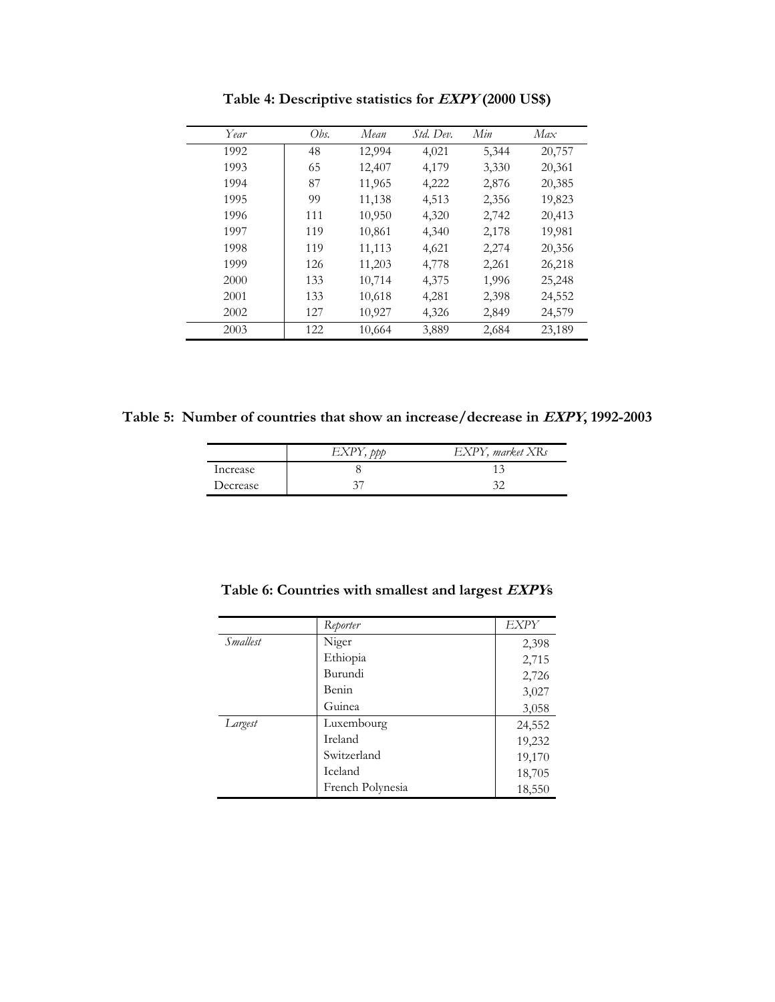| Year | Obs. | Mean   | Std. Dev. | Min   | Max    |
|------|------|--------|-----------|-------|--------|
| 1992 | 48   | 12,994 | 4,021     | 5,344 | 20,757 |
| 1993 | 65   | 12,407 | 4,179     | 3,330 | 20,361 |
| 1994 | 87   | 11,965 | 4,222     | 2,876 | 20,385 |
| 1995 | 99   | 11,138 | 4,513     | 2,356 | 19,823 |
| 1996 | 111  | 10,950 | 4,320     | 2,742 | 20,413 |
| 1997 | 119  | 10,861 | 4,340     | 2,178 | 19,981 |
| 1998 | 119  | 11,113 | 4,621     | 2,274 | 20,356 |
| 1999 | 126  | 11,203 | 4,778     | 2,261 | 26,218 |
| 2000 | 133  | 10,714 | 4,375     | 1,996 | 25,248 |
| 2001 | 133  | 10,618 | 4,281     | 2,398 | 24,552 |
| 2002 | 127  | 10,927 | 4,326     | 2,849 | 24,579 |
| 2003 | 122  | 10,664 | 3,889     | 2,684 | 23,189 |

**Table 4: Descriptive statistics for EXPY (2000 US\$)** 

**Table 5: Number of countries that show an increase/decrease in EXPY, 1992-2003** 

|          | <b>bbb</b><br>EXPY | EXPY, market XRs |
|----------|--------------------|------------------|
| Increase |                    |                  |
| Decrease |                    |                  |

**Table 6: Countries with smallest and largest EXPYs** 

|                 | Reporter         | <b>EXPY</b> |
|-----------------|------------------|-------------|
| <i>Smallest</i> | Niger            | 2,398       |
|                 | Ethiopia         | 2,715       |
|                 | Burundi          | 2,726       |
|                 | Benin            | 3,027       |
|                 | Guinea           | 3,058       |
| Largest         | Luxembourg       | 24,552      |
|                 | Ireland          | 19,232      |
|                 | Switzerland      | 19,170      |
|                 | Iceland          | 18,705      |
|                 | French Polynesia | 18,550      |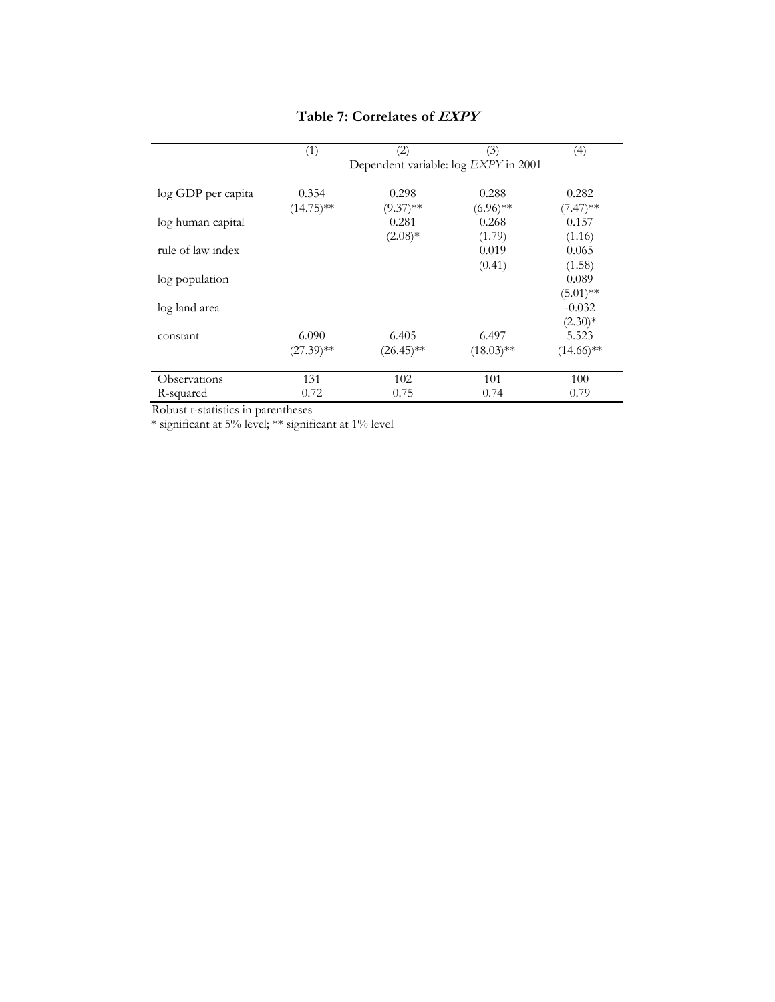|                     | (1)          | (2)                                  | (3)          | (4)          |
|---------------------|--------------|--------------------------------------|--------------|--------------|
|                     |              | Dependent variable: log EXPY in 2001 |              |              |
|                     |              |                                      |              |              |
| log GDP per capita  | 0.354        | 0.298                                | 0.288        | 0.282        |
|                     | $(14.75)$ ** | $(9.37)$ **                          | $(6.96)$ **  | $(7.47)$ **  |
| log human capital   |              | 0.281                                | 0.268        | 0.157        |
|                     |              | $(2.08)*$                            | (1.79)       | (1.16)       |
| rule of law index   |              |                                      | 0.019        | 0.065        |
|                     |              |                                      | (0.41)       | (1.58)       |
| log population      |              |                                      |              | 0.089        |
|                     |              |                                      |              | $(5.01)$ **  |
| log land area       |              |                                      |              | $-0.032$     |
|                     |              |                                      |              | $(2.30)*$    |
| constant            | 6.090        | 6.405                                | 6.497        | 5.523        |
|                     | $(27.39)$ ** | $(26.45)$ **                         | $(18.03)$ ** | $(14.66)$ ** |
|                     |              |                                      |              |              |
| <b>Observations</b> | 131          | 102                                  | 101          | 100          |
| R-squared           | 0.72         | 0.75                                 | 0.74         | 0.79         |

# **Table 7: Correlates of EXPY**

Robust t-statistics in parentheses

\* significant at 5% level; \*\* significant at 1% level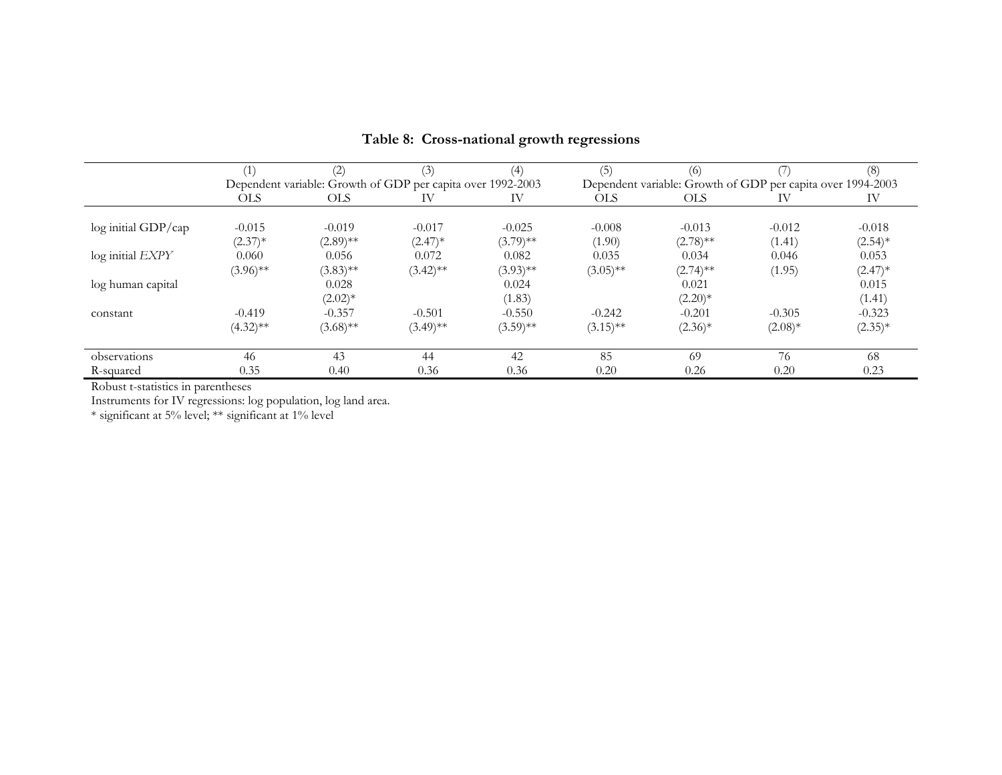|                     | (1)                                                         | (2)         | (3)         | (4)         | (5)                                                         | (6)         |           | (8)        |
|---------------------|-------------------------------------------------------------|-------------|-------------|-------------|-------------------------------------------------------------|-------------|-----------|------------|
|                     | Dependent variable: Growth of GDP per capita over 1992-2003 |             |             |             | Dependent variable: Growth of GDP per capita over 1994-2003 |             |           |            |
|                     | <b>OLS</b>                                                  | OLS.        | ΙV          | IV          | OLS.                                                        | <b>OLS</b>  | IV        | IV         |
| log initial GDP/cap | $-0.015$                                                    | $-0.019$    | $-0.017$    | $-0.025$    | $-0.008$                                                    | $-0.013$    | $-0.012$  | $-0.018$   |
|                     | $(2.37)^*$                                                  | $(2.89)$ ** | $(2.47)^*$  | $(3.79)$ ** | (1.90)                                                      | $(2.78)$ ** | (1.41)    | $(2.54)^*$ |
| log initial EXPY    | 0.060                                                       | 0.056       | 0.072       | 0.082       | 0.035                                                       | 0.034       | 0.046     | 0.053      |
|                     | $(3.96)$ **                                                 | $(3.83)$ ** | $(3.42)$ ** | $(3.93)$ ** | $(3.05)$ **                                                 | $(2.74)$ ** | (1.95)    | $(2.47)^*$ |
| log human capital   |                                                             | 0.028       |             | 0.024       |                                                             | 0.021       |           | 0.015      |
|                     |                                                             | $(2.02)^*$  |             | (1.83)      |                                                             | $(2.20)*$   |           | (1.41)     |
| constant            | $-0.419$                                                    | $-0.357$    | $-0.501$    | $-0.550$    | $-0.242$                                                    | $-0.201$    | $-0.305$  | $-0.323$   |
|                     | $(4.32)$ **                                                 | $(3.68)$ ** | $(3.49)$ ** | $(3.59)$ ** | $(3.15)$ **                                                 | $(2.36)*$   | $(2.08)*$ | $(2.35)*$  |
| observations        | 46                                                          | 43          | 44          | 42          | 85                                                          | 69          | 76        | 68         |
| R-squared           | 0.35                                                        | 0.40        | 0.36        | 0.36        | 0.20                                                        | 0.26        | 0.20      | 0.23       |

# **Table 8: Cross-national growth regressions**

Robust t-statistics in parentheses

Instruments for IV regressions: log population, log land area.

\* significant at 5% level; \*\* significant at 1% level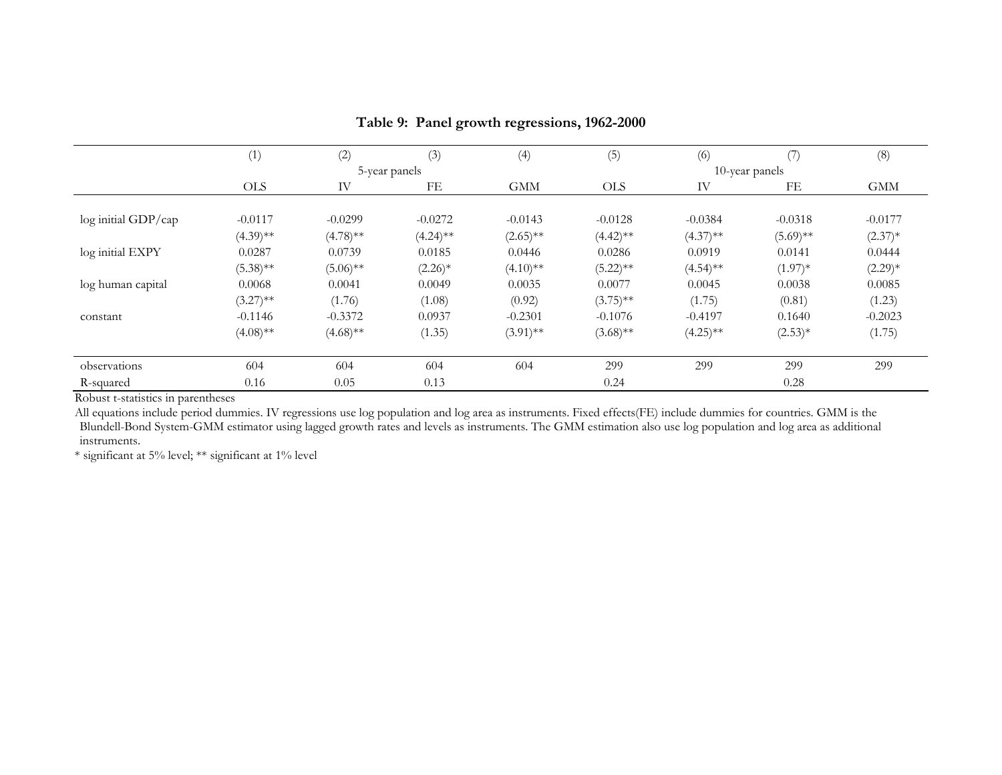|                                   | (1)         | (2)         | (3)           | (4)         | (5)         | (6)         |                | (8)        |
|-----------------------------------|-------------|-------------|---------------|-------------|-------------|-------------|----------------|------------|
|                                   |             |             | 5-year panels |             |             |             | 10-year panels |            |
|                                   | <b>OLS</b>  | IV          | FE            | <b>GMM</b>  | <b>OLS</b>  | IV          | FE             | <b>GMM</b> |
| log initial GDP/cap               | $-0.0117$   | $-0.0299$   | $-0.0272$     | $-0.0143$   | $-0.0128$   | $-0.0384$   | $-0.0318$      | $-0.0177$  |
|                                   | $(4.39)$ ** | $(4.78)$ ** | $(4.24)$ **   | $(2.65)$ ** | $(4.42)$ ** | $(4.37)$ ** | $(5.69)$ **    | $(2.37)*$  |
| log initial EXPY                  | 0.0287      | 0.0739      | 0.0185        | 0.0446      | 0.0286      | 0.0919      | 0.0141         | 0.0444     |
|                                   | $(5.38)$ ** | $(5.06)$ ** | $(2.26)^*$    | $(4.10)$ ** | $(5.22)$ ** | $(4.54)$ ** | $(1.97)$ *     | $(2.29)*$  |
| log human capital                 | 0.0068      | 0.0041      | 0.0049        | 0.0035      | 0.0077      | 0.0045      | 0.0038         | 0.0085     |
|                                   | $(3.27)$ ** | (1.76)      | (1.08)        | (0.92)      | $(3.75)$ ** | (1.75)      | (0.81)         | (1.23)     |
| constant                          | $-0.1146$   | $-0.3372$   | 0.0937        | $-0.2301$   | $-0.1076$   | $-0.4197$   | 0.1640         | $-0.2023$  |
|                                   | $(4.08)$ ** | $(4.68)$ ** | (1.35)        | $(3.91)$ ** | $(3.68)$ ** | $(4.25)$ ** | $(2.53)*$      | (1.75)     |
| observations                      | 604         | 604         | 604           | 604         | 299         | 299         | 299            | 299        |
| R-squared<br>$\sim$ $\sim$ $\sim$ | 0.16        | 0.05        | 0.13          |             | 0.24        |             | 0.28           |            |

### **Table 9: Panel growth regressions, 1962-2000**

Robust t-statistics in parentheses

All equations include period dummies. IV regressions use log population and log area as instruments. Fixed effects(FE) include dummies for countries. GMM is the Blundell-Bond System-GMM estimator using lagged growth rates and levels as instruments. The GMM estimation also use log population and log area as additional instruments.

\* significant at 5% level; \*\* significant at 1% level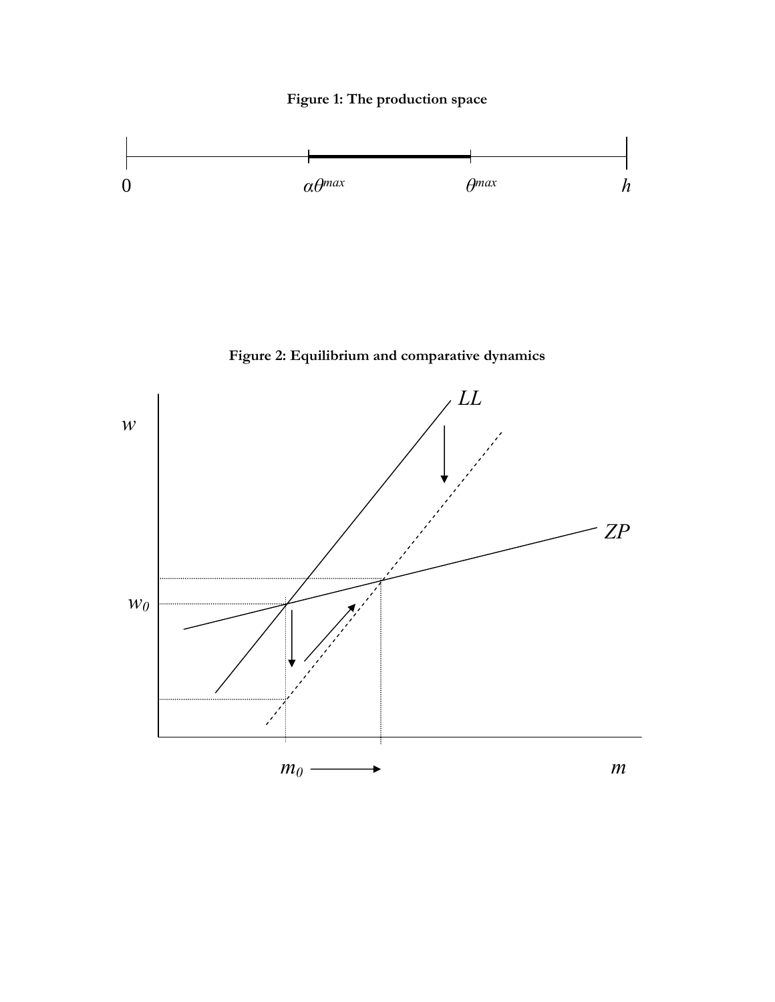



**Figure 2: Equilibrium and comparative dynamics** 

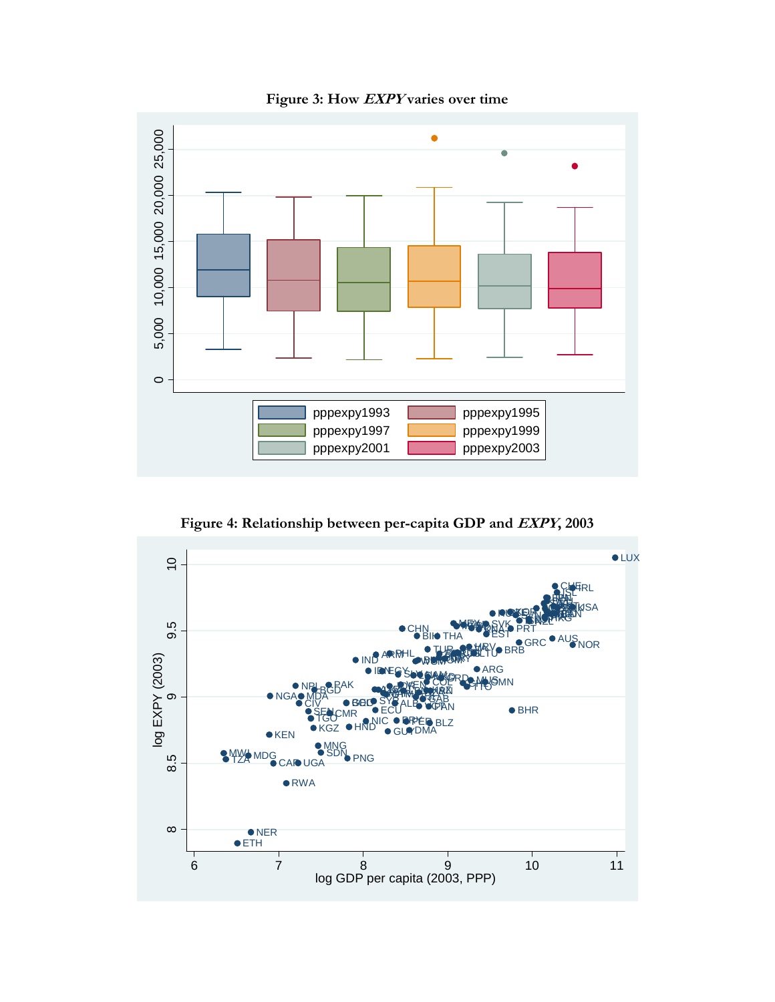**Figure 3: How EXPY varies over time** 



**Figure 4: Relationship between per-capita GDP and EXPY, 2003**

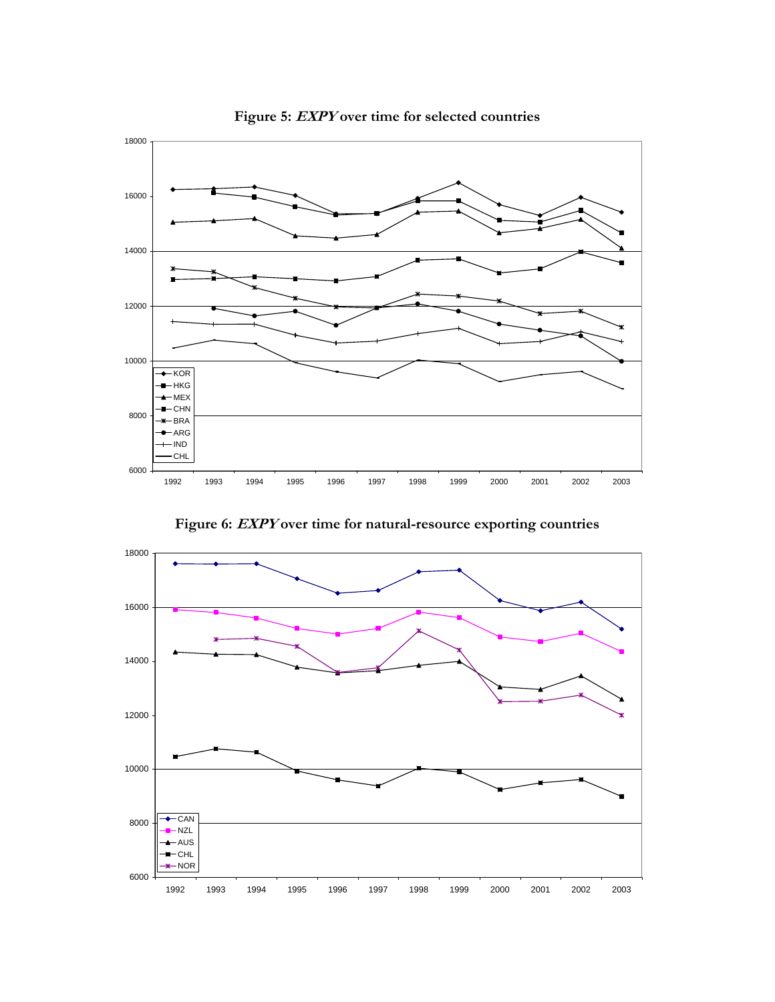

**Figure 5: EXPY over time for selected countries** 

**Figure 6: EXPY over time for natural-resource exporting countries**